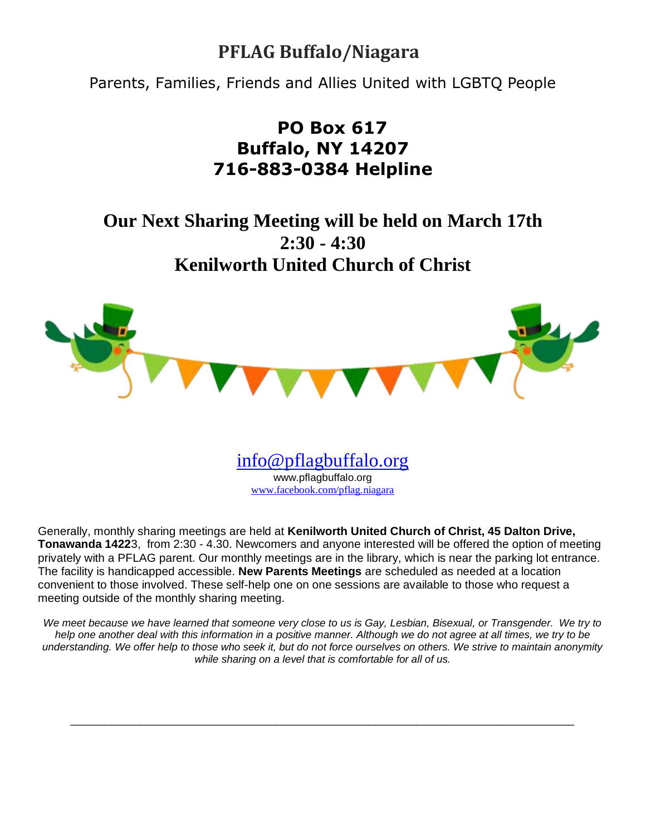# **PFLAG Buffalo/Niagara**

Parents, Families, Friends and Allies United with LGBTQ People

# **PO Box 617 Buffalo, NY 14207 716-883-0384 Helpline**

**Our Next Sharing Meeting will be held on March 17th 2:30 - 4:30 Kenilworth United Church of Christ**



[info@pflagbuffalo.org](mailto:info@pflagbuffalo.org) www.pflagbuffalo.org [www.facebook.com/pflag.niagara](http://www.facebook.com/pflag.niagara)

Generally, monthly sharing meetings are held at **Kenilworth United Church of Christ, 45 Dalton Drive, Tonawanda 1422**3, from 2:30 - 4.30. Newcomers and anyone interested will be offered the option of meeting privately with a PFLAG parent. Our monthly meetings are in the library, which is near the parking lot entrance. The facility is handicapped accessible. **New Parents Meetings** are scheduled as needed at a location convenient to those involved. These self-help one on one sessions are available to those who request a meeting outside of the monthly sharing meeting.

We meet because we have learned that someone very close to us is Gay, Lesbian, Bisexual, or Transgender. We try to *help one another deal with this information in a positive manner. Although we do not agree at all times, we try to be understanding. We offer help to those who seek it, but do not force ourselves on others. We strive to maintain anonymity while sharing on a level that is comfortable for all of us.*

 $\Box$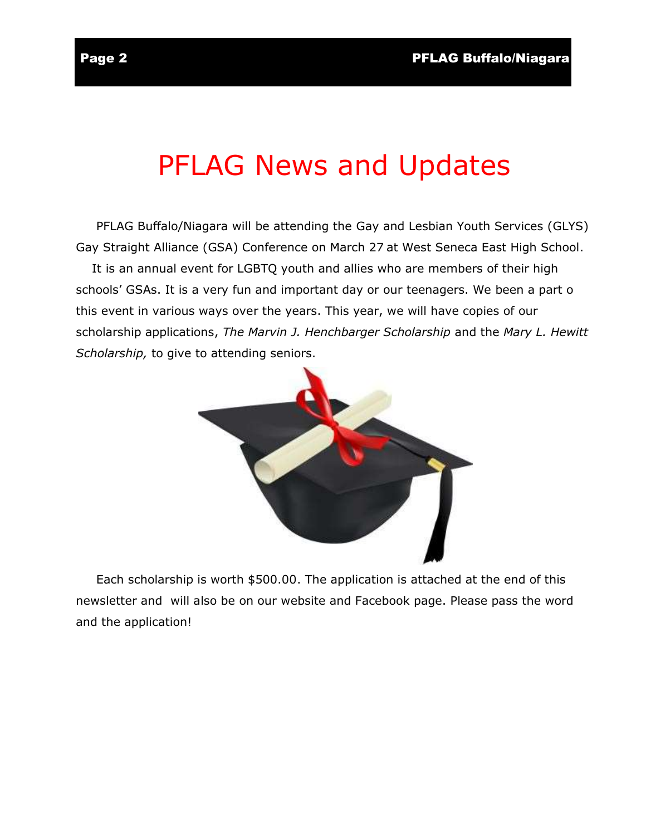# PFLAG News and Updates

 PFLAG Buffalo/Niagara will be attending the Gay and Lesbian Youth Services (GLYS) Gay Straight Alliance (GSA) Conference on March 27 at West Seneca East High School.

 It is an annual event for LGBTQ youth and allies who are members of their high schools' GSAs. It is a very fun and important day or our teenagers. We been a part o this event in various ways over the years. This year, we will have copies of our scholarship applications, *The Marvin J. Henchbarger Scholarship* and the *Mary L. Hewitt Scholarship,* to give to attending seniors.



 Each scholarship is worth \$500.00. The application is attached at the end of this newsletter and will also be on our website and Facebook page. Please pass the word and the application!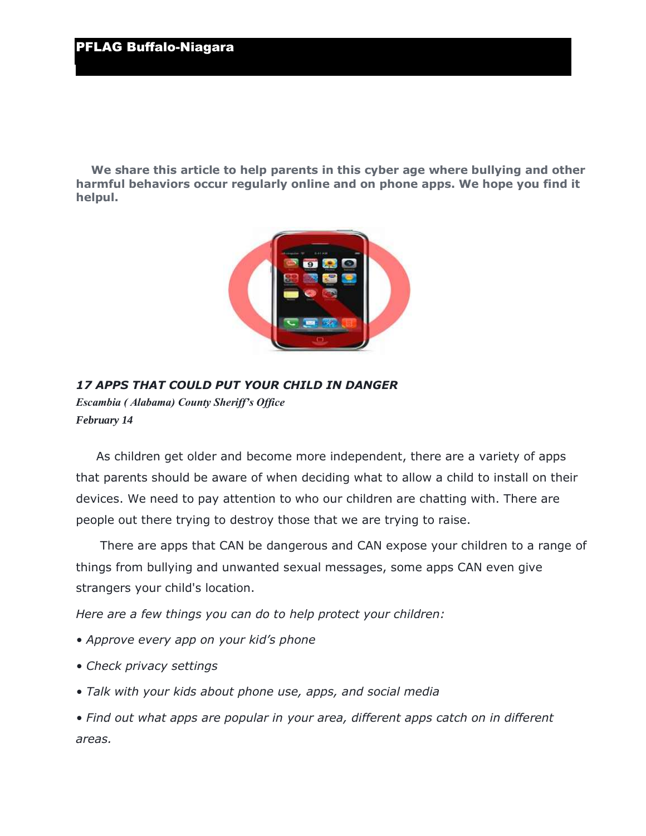**We share this article to help parents in this cyber age where bullying and other harmful behaviors occur regularly online and on phone apps. We hope you find it helpul.** 



*17 APPS THAT COULD PUT YOUR CHILD IN DANGER Escambia ( Alabama) County Sheriff's Office February 14*

 As children get older and become more independent, there are a variety of apps that parents should be aware of when deciding what to allow a child to install on their devices. We need to pay attention to who our children are chatting with. There are people out there trying to destroy those that we are trying to raise.

 There are apps that CAN be dangerous and CAN expose your children to a range of things from bullying and unwanted sexual messages, some apps CAN even give strangers your child's location.

*Here are a few things you can do to help protect your children:*

- *Approve every app on your kid's phone*
- *Check privacy settings*
- *Talk with your kids about phone use, apps, and social media*

*• Find out what apps are popular in your area, different apps catch on in different areas.*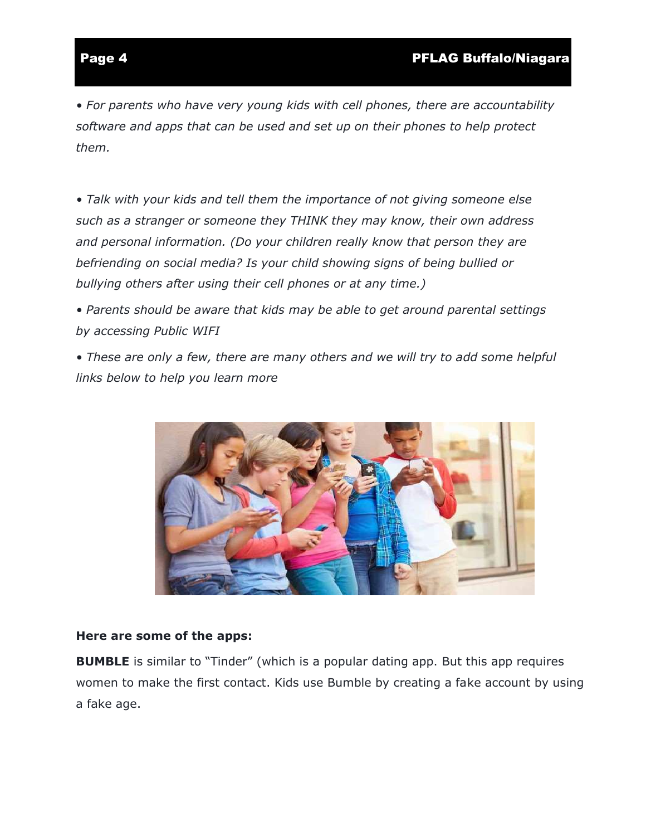*• For parents who have very young kids with cell phones, there are accountability software and apps that can be used and set up on their phones to help protect them.*

*• Talk with your kids and tell them the importance of not giving someone else such as a stranger or someone they THINK they may know, their own address and personal information. (Do your children really know that person they are befriending on social media? Is your child showing signs of being bullied or bullying others after using their cell phones or at any time.)*

*• Parents should be aware that kids may be able to get around parental settings by accessing Public WIFI*

*• These are only a few, there are many others and we will try to add some helpful links below to help you learn more*



### **Here are some of the apps:**

**BUMBLE** is similar to "Tinder" (which is a popular dating app. But this app requires women to make the first contact. Kids use Bumble by creating a fake account by using a fake age.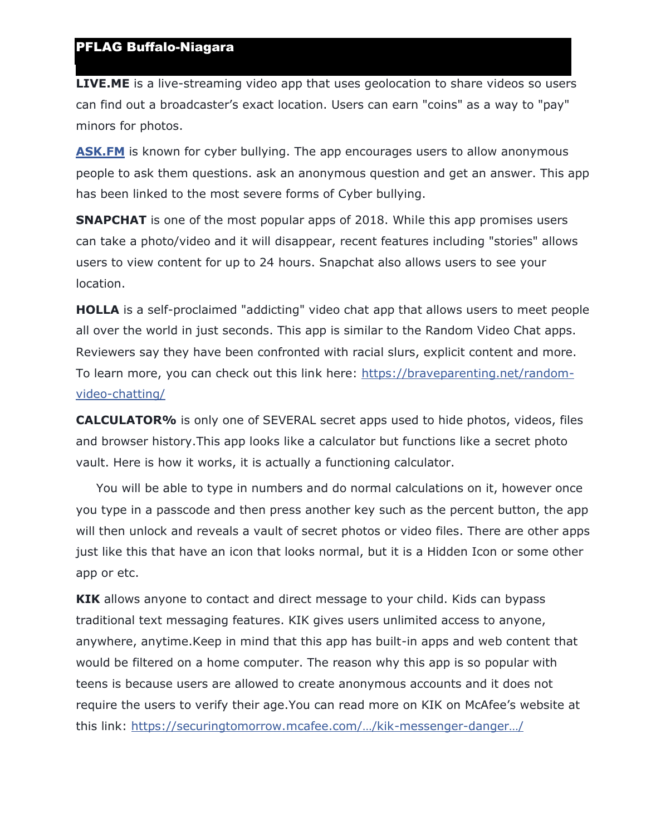**LIVE.ME** is a live-streaming video app that uses geolocation to share videos so users can find out a broadcaster's exact location. Users can earn "coins" as a way to "pay" minors for photos.

**[ASK.FM](https://l.facebook.com/l.php?u=http%3A%2F%2FASK.FM%2F%3Ffbclid%3DIwAR3IQDne3XyolZTFf9y7XsJTvjP0gD6bv3rR69tNVI4lD8wJLIIGWoEBnpY&h=AT1VX3f7f3yVVq1gEJk4zYZPD6aa3DkBMfPUzXfPdusFbuu1uY4vI-WrdEwsXLBiNhSbGTw7iLMDV_Hg0SIS54GoK8uYh-NR9qspR4HHrBxoKIsMZdWT6mmVgNEMK0C2qcrnuF_WHcyqJYgNpPr7ci4zbbfSlccrkfAwA1l1KY_CUijScGVnnqKPuHp_IQ5uZjSkFayToWiBHqs6y2QsI8FP9V7lZJQxrd7myGeZYOinVrSQJKNXmXfGy7rcHitDuDBz_c9RytylVjtFxSwAGhSWeNTuc2seOvoU5a8yezF9VQQzFf8pivgs_4LS1VfHBwF6xzP1hwD9PNhSWCWrA7mHlT-t5w07byH15ppx8zUUduSRvU2ONW3MCQP6arYyrqvwmtmbzKVvCCsYHHiVCL9rlt0P9tTXl4mzMm-6GoFuv8yYxOedwXUdHYF-uh_VniGRGCyk3r3ASBr1Se8JaB4ZEnc7oISm1v6pXQ9PeTsEF2lMFnkY0V3km-Hvp0LfainjDLwHGBj2KDPK9htFfKhYwVLlwJc9yAC15hT2X3lORlUxW87tXh_Dwhr-1HZ0PPDAXTAIfdDTXyj7YhJeisy9lbhBoQ6ayDeUzwqa98ucAEl6jS6DJMHmW8yXmwsYmKCOpJPtQslTW5f8dqd-JQ)** is known for cyber bullying. The app encourages users to allow anonymous people to ask them questions. ask an anonymous question and get an answer. This app has been linked to the most severe forms of Cyber bullying.

**SNAPCHAT** is one of the most popular apps of 2018. While this app promises users can take a photo/video and it will disappear, recent features including "stories" allows users to view content for up to 24 hours. Snapchat also allows users to see your location.

**HOLLA** is a self-proclaimed "addicting" video chat app that allows users to meet people all over the world in just seconds. This app is similar to the Random Video Chat apps. Reviewers say they have been confronted with racial slurs, explicit content and more. To learn more, you can check out this link here: [https://braveparenting.net/random](https://l.facebook.com/l.php?u=https%3A%2F%2Fbraveparenting.net%2Frandom-video-chatting%2F%3Ffbclid%3DIwAR1AzvmtvXHXgh4Ot-hXawWn8XNXs6Bm5a5qdfNY5U2ne_gkSKkqAKo9inM&h=AT0RZuUtel07NcOTpbMbd3vtKkAs512WcWkKsPtH30GBRHAb-OJOdb2eW1hZDdsLX8rgDp4k9e1GpmBEuaMYX8CMWAAA6lHjJCXMovpqR5dNHkeJd2e6D_XAuyJ3GUZqlhoqwKX8vuKJzvd1JFls96S4aXwDKlJpzz7_txjTDHpGRl9930EgZYqX3WMFYxFeu4IUO9-NIi8bkAdDpv6y5Bv-I2EfXmS1f9EPjLxA4N5aozZ0JtQJFcvItHh2N9WbPbb5pRxB_WamB2AVx2hCU7T_jlhUlz27mIr_CSIM-eFM33_ULKBBNo-zxM-gFngHp55CF5Rv4qrb_guIATjlUzg-Gjeo64GUAMWwwA_4E_XbT8wBIZFSPRbdoLjDhxtd2ewaQasOjgQBirX3Q_1zQgCJhhkJcaH0O601FV-RZKYyDrZlXY6zamNkSgM3vB7Npq6zfHKMYLKrqMe-v9lILPKw9U2Oi0FlcG_OOoxnOWliPvPucZgrIH8SSSwTcplgDJb5DF8nBk_LiShdfuHPBrSAqJu9yEpG0BJWv0ABRcRykRQB9YduSugu28V6-QzZGcsAhXKP7uPJQbcvKK7TWymaSVtiaGkGsr63TFU3QA1FqLs9Pe93gH0-huT879x4wzykFiL6A8TwcbWlK7MfGg)[video-chatting/](https://l.facebook.com/l.php?u=https%3A%2F%2Fbraveparenting.net%2Frandom-video-chatting%2F%3Ffbclid%3DIwAR1AzvmtvXHXgh4Ot-hXawWn8XNXs6Bm5a5qdfNY5U2ne_gkSKkqAKo9inM&h=AT0RZuUtel07NcOTpbMbd3vtKkAs512WcWkKsPtH30GBRHAb-OJOdb2eW1hZDdsLX8rgDp4k9e1GpmBEuaMYX8CMWAAA6lHjJCXMovpqR5dNHkeJd2e6D_XAuyJ3GUZqlhoqwKX8vuKJzvd1JFls96S4aXwDKlJpzz7_txjTDHpGRl9930EgZYqX3WMFYxFeu4IUO9-NIi8bkAdDpv6y5Bv-I2EfXmS1f9EPjLxA4N5aozZ0JtQJFcvItHh2N9WbPbb5pRxB_WamB2AVx2hCU7T_jlhUlz27mIr_CSIM-eFM33_ULKBBNo-zxM-gFngHp55CF5Rv4qrb_guIATjlUzg-Gjeo64GUAMWwwA_4E_XbT8wBIZFSPRbdoLjDhxtd2ewaQasOjgQBirX3Q_1zQgCJhhkJcaH0O601FV-RZKYyDrZlXY6zamNkSgM3vB7Npq6zfHKMYLKrqMe-v9lILPKw9U2Oi0FlcG_OOoxnOWliPvPucZgrIH8SSSwTcplgDJb5DF8nBk_LiShdfuHPBrSAqJu9yEpG0BJWv0ABRcRykRQB9YduSugu28V6-QzZGcsAhXKP7uPJQbcvKK7TWymaSVtiaGkGsr63TFU3QA1FqLs9Pe93gH0-huT879x4wzykFiL6A8TwcbWlK7MfGg)

**CALCULATOR%** is only one of SEVERAL secret apps used to hide photos, videos, files and browser history.This app looks like a calculator but functions like a secret photo vault. Here is how it works, it is actually a functioning calculator.

 You will be able to type in numbers and do normal calculations on it, however once you type in a passcode and then press another key such as the percent button, the app will then unlock and reveals a vault of secret photos or video files. There are other apps just like this that have an icon that looks normal, but it is a Hidden Icon or some other app or etc.

**KIK** allows anyone to contact and direct message to your child. Kids can bypass traditional text messaging features. KIK gives users unlimited access to anyone, anywhere, anytime.Keep in mind that this app has built-in apps and web content that would be filtered on a home computer. The reason why this app is so popular with teens is because users are allowed to create anonymous accounts and it does not require the users to verify their age.You can read more on KIK on McAfee's website at this link: [https://securingtomorrow.mcafee.com/…/kik](https://l.facebook.com/l.php?u=https%3A%2F%2Fsecuringtomorrow.mcafee.com%2Fconsumer%2Ffamily-safety%2Fkik-messenger-dangerous-app-kids-love%2F%3Ffbclid%3DIwAR3yYa4XRven6B_f0gZmAlZG8DmM0lhLsaipXIJz-R3_vVRuwZAYRheul6k&h=AT2eHflTDOTmw6dPsbNgHEM9huFDg-PRmutA4_v1em3W3zfqu-r5EdT4-R01u-JQR2NC5XhNG59wDkjneKH2fJ8Fp7AvaN1KpvdQA4wnKjn3vMe6Zc6BZYClC0YtQUlM7Dno7ErpKGKW_Ir45nUarqBQYxiHFY7_zepNOPaKi9rRM3pemd0N5hJTsQhdtUfY4M_7hxDnFmURTOhiQzgQYE4Q2SSHkB7wG4mEfrXvnrRBF-xp_e1LubdqRYVkHeXVpXZsy3ui-O7G299oJnRaRNuzjkABM0cu8TG3Qlv8BHFbjK8-AtDiQLY8brdFKnxTS_NPbproBffuQ9DMSM5ZWsjFS2nlDUSwic1wrtez51f_AZsoEcx09V28nOQ0LbCR_LlwJZTBy9S5mEes6kksFck23-0Vln7lY2uNyrCEYo3uy-4lC8DA671CjakgHOJaK-swqWCDVmuiMZMqpRlD36gqYZjttOxDPsQ8kdeqf7MOvO3OTu_qsmnvKqDXeZffDCBlAIL_Dr1BpbWI9NrqIxr8Zf90aqLbyJd3ICEpBO35S3R-VNIo4EcINfH0s2Exm0BTE3je_Ht30OXjwKCq99UGobOMR0iW2mgJuy7nYkJVTOQuRW-2nWa9N8Rv032tN2lgDKOdds_16IGLhTC4QA)-messenger-danger…/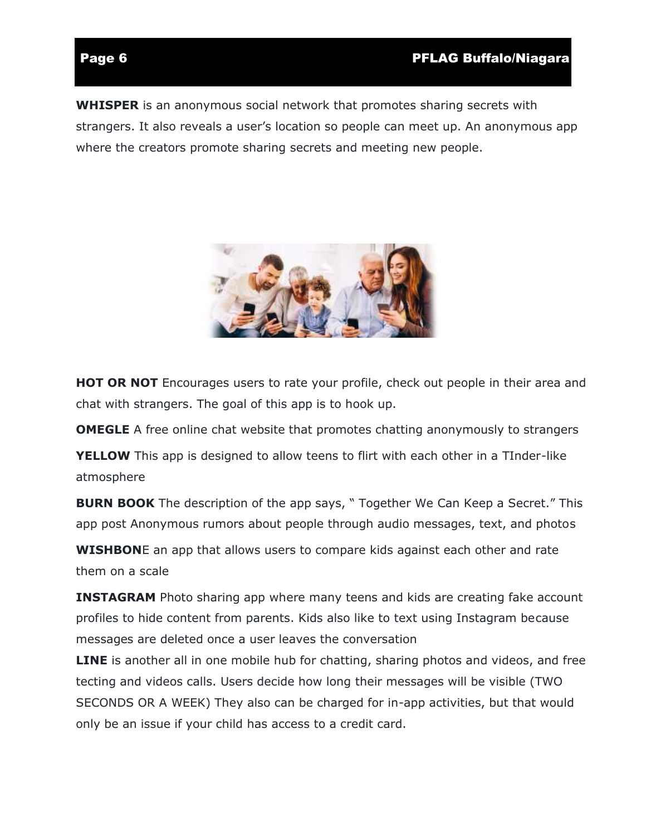**WHISPER** is an anonymous social network that promotes sharing secrets with strangers. It also reveals a user's location so people can meet up. An anonymous app where the creators promote sharing secrets and meeting new people.



**HOT OR NOT** Encourages users to rate your profile, check out people in their area and chat with strangers. The goal of this app is to hook up.

**OMEGLE** A free online chat website that promotes chatting anonymously to strangers

**YELLOW** This app is designed to allow teens to flirt with each other in a TInder-like atmosphere

**BURN BOOK** The description of the app says, " Together We Can Keep a Secret." This app post Anonymous rumors about people through audio messages, text, and photos

**WISHBON**E an app that allows users to compare kids against each other and rate them on a scale

**INSTAGRAM** Photo sharing app where many teens and kids are creating fake account profiles to hide content from parents. Kids also like to text using Instagram because messages are deleted once a user leaves the conversation

**LINE** is another all in one mobile hub for chatting, sharing photos and videos, and free tecting and videos calls. Users decide how long their messages will be visible (TWO SECONDS OR A WEEK) They also can be charged for in-app activities, but that would only be an issue if your child has access to a credit card.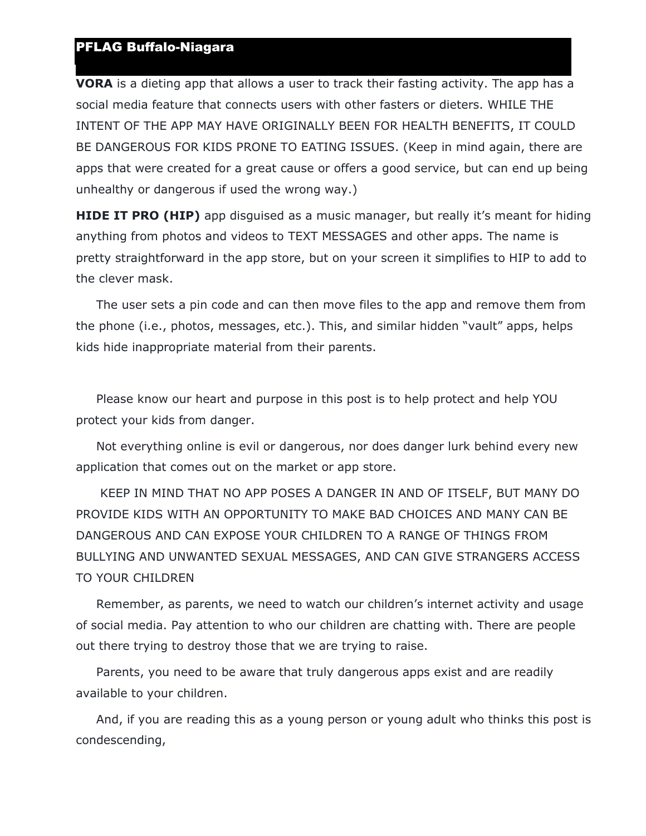### PFLAG Buffalo-Niagara

**VORA** is a dieting app that allows a user to track their fasting activity. The app has a social media feature that connects users with other fasters or dieters. WHILE THE INTENT OF THE APP MAY HAVE ORIGINALLY BEEN FOR HEALTH BENEFITS, IT COULD BE DANGEROUS FOR KIDS PRONE TO EATING ISSUES. (Keep in mind again, there are apps that were created for a great cause or offers a good service, but can end up being unhealthy or dangerous if used the wrong way.)

**HIDE IT PRO (HIP)** app disquised as a music manager, but really it's meant for hiding anything from photos and videos to TEXT MESSAGES and other apps. The name is pretty straightforward in the app store, but on your screen it simplifies to HIP to add to the clever mask.

 The user sets a pin code and can then move files to the app and remove them from the phone (i.e., photos, messages, etc.). This, and similar hidden "vault" apps, helps kids hide inappropriate material from their parents.

 Please know our heart and purpose in this post is to help protect and help YOU protect your kids from danger.

 Not everything online is evil or dangerous, nor does danger lurk behind every new application that comes out on the market or app store.

 KEEP IN MIND THAT NO APP POSES A DANGER IN AND OF ITSELF, BUT MANY DO PROVIDE KIDS WITH AN OPPORTUNITY TO MAKE BAD CHOICES AND MANY CAN BE DANGEROUS AND CAN EXPOSE YOUR CHILDREN TO A RANGE OF THINGS FROM BULLYING AND UNWANTED SEXUAL MESSAGES, AND CAN GIVE STRANGERS ACCESS TO YOUR CHILDREN

 Remember, as parents, we need to watch our children's internet activity and usage of social media. Pay attention to who our children are chatting with. There are people out there trying to destroy those that we are trying to raise.

 Parents, you need to be aware that truly dangerous apps exist and are readily available to your children.

 And, if you are reading this as a young person or young adult who thinks this post is condescending,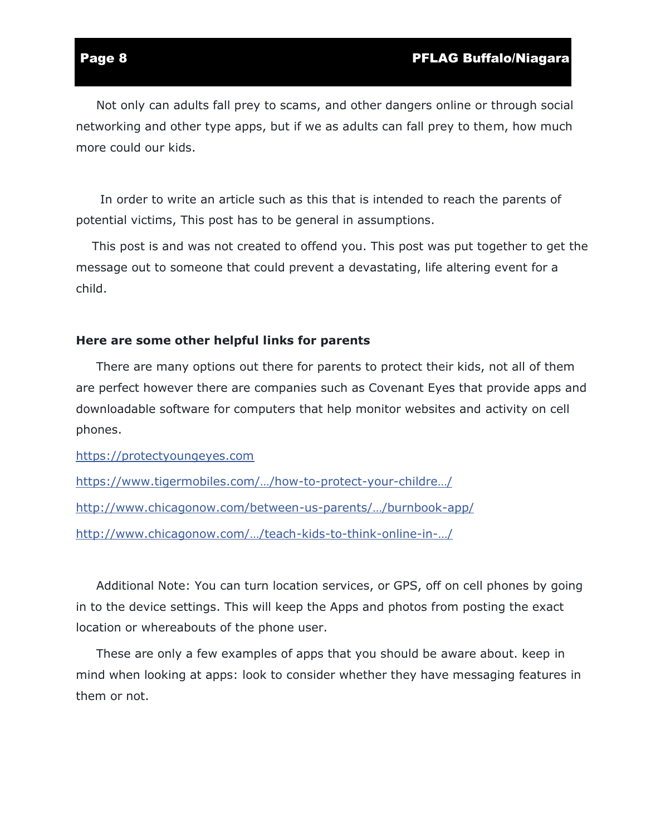Not only can adults fall prey to scams, and other dangers online or through social networking and other type apps, but if we as adults can fall prey to them, how much more could our kids.

 In order to write an article such as this that is intended to reach the parents of potential victims, This post has to be general in assumptions.

 This post is and was not created to offend you. This post was put together to get the message out to someone that could prevent a devastating, life altering event for a child.

### **Here are some other helpful links for parents**

 There are many options out there for parents to protect their kids, not all of them are perfect however there are companies such as Covenant Eyes that provide apps and downloadable software for computers that help monitor websites and activity on cell phones.

[https://protectyoungeyes.com](https://l.facebook.com/l.php?u=https%3A%2F%2Fprotectyoungeyes.com%2F%3Ffbclid%3DIwAR2YvhZIbyuauL_GBxyrTrOZ0RHLjA_5HS5UPG-A_vbBMhmqDaSpFPNS4BI&h=AT0ti7pdQLODx8FEcBrGy7sFkSumecxk0eULbSciJmRWPLQRFxHp5WaxmPhZD2fdd9nLjKK9spKHI_OA0NzGVrcykyzU1267kiBLlvS4uOUZPl5hdRHjHnB6BMF0yBmft2fsdBxxQMoW41LwH4WENd6naeGFA28NMX2FEubYpW6GUEGEgxVXOaAfOow22A0K2WK2KLVahO1QvxscXfC6YLTr8jwzZougfU6M4QK795bMRPMiYd15VUdWA4apDTs7sze-oeyiy1BqxwEBHKc8yckgXNY8O09f02NhcaGtMVuzU3dgmZEtzIK8rCpDDxTG6GoN3uR9cO-24rNy0lRDzV4CmfcsHj_lw_-WvjsvuWwpYCuTF7p3vqYjhh6UXMYvwLJamfRhzfcuXlAa00RP_WAHFHcCDr5KAGLcAEMhGhPwZVP6Ko4k-kGa0GQYI4yc1Sl7ORiwOz9-MN0cDggdY-SBnxSk-yIf3xL7euvVtip-pTsKJdgwYyl0YAH36J1286KxKQ1iKzMg5ZdlPmNrY0MzJ51hCiNVrj1mB-Dp0nGx4BKBiBYyYoK4fKB7QfGg_2_pLGBtxWSInleotpgOEdX6XHm0GaM-IqLS3e5T9Ay2IO5uoDoL1ltzJ2sg1CMSfc7n1wmoeQThNhMDNm3IBQ)

https://w[ww.tigermobiles.com/…/how](https://l.facebook.com/l.php?u=https%3A%2F%2Fwww.tigermobiles.com%2Fblog%2Fhow-to-protect-your-children-on-their-smartphone%2F%3Ffbclid%3DIwAR3obkET-FZu0yxMYiqYujVDICnp8iOTBzrfnF2_bQ0Lw-n_tjj2WXxpv6o&h=AT393n17LV-aDf1kcR_nXcGm2yaenVkiQRaeWJOfbrP8o-mCn5ScwAkIso5e65U7W6PCyoaLilX3SJjMgrSqUF2bFNJkgof7RCq_W3Zr3TlEiLRevXZYi6z0okN8SVhcF2oNdphA7h2VZ3m7RWY7WiunMdMZhB03vTIqHWHDUHl1bx-6xOctpzNUoazY0NYuPUHoplV-LQfocgrZJaO4CmrIfTij-ycfOjFTr8NBKapediVyqEbZctNA4lV_hE8Mzf7U0CaE1l9WQjQm97FG0Zovz4X93iZmhp8lWwUWyTN_rpFS2tI6OmUlyUAqO9CDMB_PkF3qL38iP1m8Cv3DpltEZx4GDxbUSceeG9-XmE44F5BSuQH421KiDA5yqmfAtJgghWO-wz2lDJpaVGGdb-4ljPdMN8_kzcg1d1xWriNdVuu07tZnmS472ij8soFcibv90LpD9KqIvrXDKvKYHw9HQk_dObi52suiZYJ9weF4xvn2qwOflxg71Xj8PIM17GNu75urmsEAfz3GF4QggMhZ8M36PuQp20cZ-Hqn3EWke9lD3OuF1eDCp3UL0dUprZT8kzVLQLuCXn0CiDugIllJpVGo8XODPv9bAsThu6tP2tpBmwl0lSmDIsaWmJHiHqgwRQH1HnVb0IUddJuoBA)-to-protect-your-childre…/ [http://www.chicagonow.com/between-us-par](http://www.chicagonow.com/between-us-parents/2015/03/burnbook-app/?fbclid=IwAR3OymC6b7fYhgf_e63iWlZjq7cnj19YsWHWzjICR6-hEcuQ-ZEchFtHkh8)ents/…/burnbook-app/ [http://www.chicagonow.com/…/teach](http://www.chicagonow.com/between-us-parents/2014/02/teach-kids-to-think-online-in-person/?fbclid=IwAR3Yysu4MuWlzyZ6wxkMYPvNlrUwIj7hJva0lW8MXjpnPbKq-TzzF01NlXc)-kids-to-think-online-in-…/

 Additional Note: You can turn location services, or GPS, off on cell phones by going in to the device settings. This will keep the Apps and photos from posting the exact location or whereabouts of the phone user.

 These are only a few examples of apps that you should be aware about. keep in mind when looking at apps: look to consider whether they have messaging features in them or not.